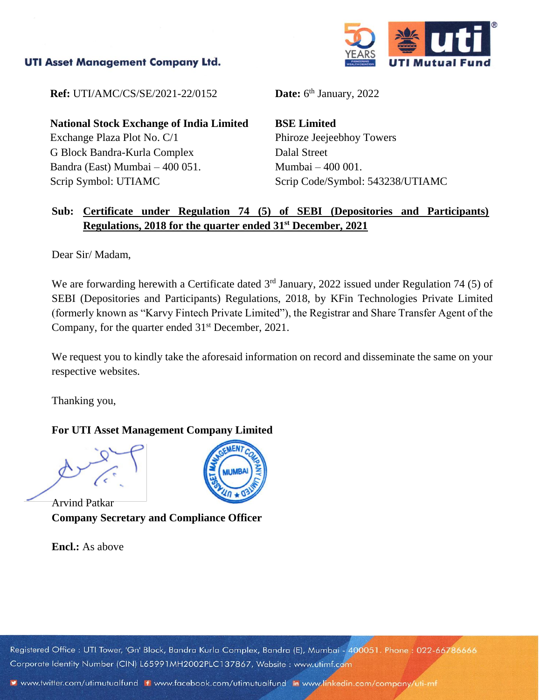## **UTI Asset Management Company Ltd.**



**Ref:** UTI/AMC/CS/SE/2021-22/0152

**National Stock Exchange of India Limited** Exchange Plaza Plot No. C/1 G Block Bandra-Kurla Complex Bandra (East) Mumbai – 400 051. Scrip Symbol: UTIAMC

**Date:**  $6^{\text{th}}$  January, 2022

**BSE Limited** Phiroze Jeejeebhoy Towers Dalal Street Mumbai – 400 001. Scrip Code/Symbol: 543238/UTIAMC

## **Sub: Certificate under Regulation 74 (5) of SEBI (Depositories and Participants) Regulations, 2018 for the quarter ended 31st December, 2021**

Dear Sir/ Madam,

We are forwarding herewith a Certificate dated  $3<sup>rd</sup>$  January, 2022 issued under Regulation 74 (5) of SEBI (Depositories and Participants) Regulations, 2018, by KFin Technologies Private Limited (formerly known as "Karvy Fintech Private Limited"), the Registrar and Share Transfer Agent of the Company, for the quarter ended  $31<sup>st</sup>$  December, 2021.

We request you to kindly take the aforesaid information on record and disseminate the same on your respective websites.

Thanking you,

## **For UTI Asset Management Company Limited**

Arvind Patkar **Company Secretary and Compliance Officer**

**Encl.:** As above



Registered Office: UTI Tower, 'Gn' Block, Bandra Kurla Complex, Bandra (E), Mumbai - 400051. Phone: 022-66786666 Corporate Identity Number (CIN) L65991MH2002PLC137867, Website: www.utimf.com

v www.twitter.com/utimutualfund If www.facebook.com/utimutualfund in www.linkedin.com/company/uti-mf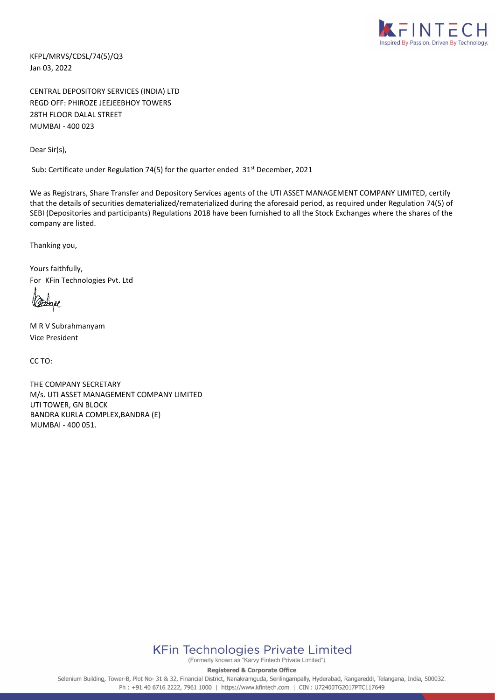

KFPL/MRVS/CDSL/74(5)/Q3 Jan 03, 2022

CENTRAL DEPOSITORY SERVICES (INDIA) LTD REGD OFF: PHIROZE JEEJEEBHOY TOWERS 28TH FLOOR DALAL STREET MUMBAI - 400 023

Dear Sir(s),

Sub: Certificate under Regulation 74(5) for the quarter ended 31<sup>st</sup> December, 2021

We as Registrars, Share Transfer and Depository Services agents of the UTI ASSET MANAGEMENT COMPANY LIMITED, certify that the details of securities dematerialized/rematerialized during the aforesaid period, as required under Regulation 74(5) of SEBI (Depositories and participants) Regulations 2018 have been furnished to all the Stock Exchanges where the shares of the company are listed.

Thanking you,

Yours faithfully, For KFin Technologies Pvt. Ltd

M R V Subrahmanyam Vice President

CC TO:

THE COMPANY SECRETARY M/s. UTI ASSET MANAGEMENT COMPANY LIMITED UTI TOWER, GN BLOCK BANDRA KURLA COMPLEX,BANDRA (E) MUMBAI - 400 051.



(Formerly known as "Karvy Fintech Private Limited")

**Registered & Corporate Office** 

Selenium Building, Tower-B, Plot No- 31 & 32, Financial District, Nanakramguda, Serilingampally, Hyderabad, Rangareddi, Telangana, India, 500032. Ph: +91 40 6716 2222, 7961 1000 | https://www.kfintech.com | CIN: U72400TG2017PTC117649